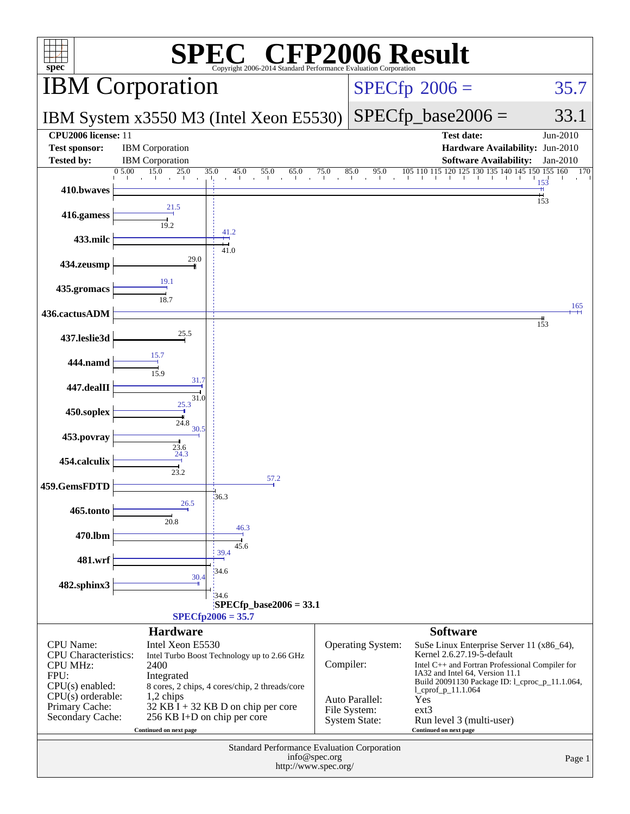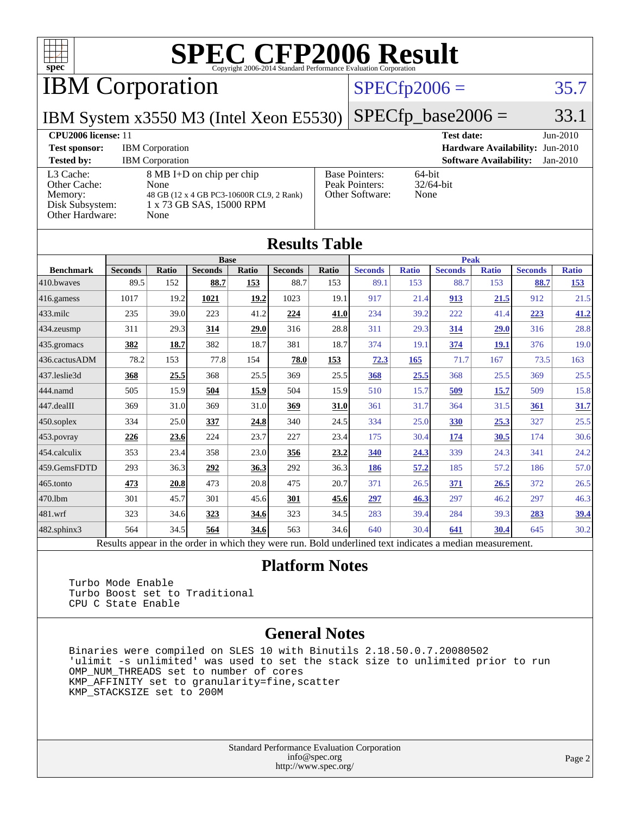

IBM Corporation

#### $SPECfp2006 = 35.7$  $SPECfp2006 = 35.7$

IBM System x3550 M3 (Intel Xeon E5530) [SPECfp\\_base2006 =](http://www.spec.org/auto/cpu2006/Docs/result-fields.html#SPECfpbase2006) 33.1

| <b>CPU2006 license: 11</b>                                                 |                                                                                                                   |                                                            | <b>Test date:</b>                      | $Jun-2010$ |
|----------------------------------------------------------------------------|-------------------------------------------------------------------------------------------------------------------|------------------------------------------------------------|----------------------------------------|------------|
| <b>Test sponsor:</b>                                                       | <b>IBM</b> Corporation                                                                                            |                                                            | <b>Hardware Availability: Jun-2010</b> |            |
| <b>Tested by:</b>                                                          | <b>IBM</b> Corporation                                                                                            |                                                            | <b>Software Availability:</b>          | Jan-2010   |
| L3 Cache:<br>Other Cache:<br>Memory:<br>Disk Subsystem:<br>Other Hardware: | 8 MB I+D on chip per chip<br>None<br>48 GB (12 x 4 GB PC3-10600R CL9, 2 Rank)<br>1 x 73 GB SAS, 15000 RPM<br>None | <b>Base Pointers:</b><br>Peak Pointers:<br>Other Software: | 64-bit<br>$32/64$ -bit<br>None         |            |

**[Results Table](http://www.spec.org/auto/cpu2006/Docs/result-fields.html#ResultsTable)**

| Results Table                                                                                            |                |              |                |       |                |       |                |              |                |              |                |              |
|----------------------------------------------------------------------------------------------------------|----------------|--------------|----------------|-------|----------------|-------|----------------|--------------|----------------|--------------|----------------|--------------|
|                                                                                                          |                |              | <b>Base</b>    |       |                |       | <b>Peak</b>    |              |                |              |                |              |
| <b>Benchmark</b>                                                                                         | <b>Seconds</b> | <b>Ratio</b> | <b>Seconds</b> | Ratio | <b>Seconds</b> | Ratio | <b>Seconds</b> | <b>Ratio</b> | <b>Seconds</b> | <b>Ratio</b> | <b>Seconds</b> | <b>Ratio</b> |
| 410.bwaves                                                                                               | 89.5           | 152          | 88.7           | 153   | 88.7           | 153   | 89.1           | 153          | 88.7           | 153          | 88.7           | <u>153</u>   |
| 416.gamess                                                                                               | 1017           | 19.2         | 1021           | 19.2  | 1023           | 19.1  | 917            | 21.4         | 913            | 21.5         | 912            | 21.5         |
| $433$ .milc                                                                                              | 235            | 39.0         | 223            | 41.2  | 224            | 41.0  | 234            | 39.2         | 222            | 41.4         | 223            | 41.2         |
| 434.zeusmp                                                                                               | 311            | 29.3         | 314            | 29.0  | 316            | 28.8  | 311            | 29.3         | 314            | 29.0         | 316            | 28.8         |
| 435.gromacs                                                                                              | 382            | 18.7         | 382            | 18.7  | 381            | 18.7  | 374            | 19.1         | 374            | <b>19.1</b>  | 376            | 19.0         |
| 436.cactusADM                                                                                            | 78.2           | 153          | 77.8           | 154   | 78.0           | 153   | 72.3           | 165          | 71.7           | 167          | 73.5           | 163          |
| 437.leslie3d                                                                                             | 368            | 25.5         | 368            | 25.5  | 369            | 25.5  | 368            | 25.5         | 368            | 25.5         | 369            | 25.5         |
| 444.namd                                                                                                 | 505            | 15.9         | 504            | 15.9  | 504            | 15.9  | 510            | 15.7         | 509            | 15.7         | 509            | 15.8         |
| 447.dealII                                                                                               | 369            | 31.0         | 369            | 31.0  | 369            | 31.0  | 361            | 31.7         | 364            | 31.5         | 361            | 31.7         |
| $450$ .soplex                                                                                            | 334            | 25.0         | 337            | 24.8  | 340            | 24.5  | 334            | 25.0         | 330            | 25.3         | 327            | 25.5         |
| 453.povray                                                                                               | 226            | 23.6         | 224            | 23.7  | 227            | 23.4  | 175            | 30.4         | 174            | 30.5         | 174            | 30.6         |
| $ 454$ .calculix                                                                                         | 353            | 23.4         | 358            | 23.0  | 356            | 23.2  | 340            | 24.3         | 339            | 24.3         | 341            | 24.2         |
| 459.GemsFDTD                                                                                             | 293            | 36.3         | <u>292</u>     | 36.3  | 292            | 36.3  | 186            | 57.2         | 185            | 57.2         | 186            | 57.0         |
| $465$ .tonto                                                                                             | 473            | 20.8         | 473            | 20.8  | 475            | 20.7  | 371            | 26.5         | 371            | 26.5         | 372            | 26.5         |
| 470.1bm                                                                                                  | 301            | 45.7         | 301            | 45.6  | 301            | 45.6  | 297            | 46.3         | 297            | 46.2         | 297            | 46.3         |
| 481.wrf                                                                                                  | 323            | 34.6         | 323            | 34.6  | 323            | 34.5  | 283            | 39.4         | 284            | 39.3         | 283            | 39.4         |
| 482.sphinx3                                                                                              | 564            | 34.5         | 564            | 34.6  | 563            | 34.6  | 640            | 30.4         | 641            | 30.4         | 645            | 30.2         |
| Results appear in the order in which they were run. Bold underlined text indicates a median measurement. |                |              |                |       |                |       |                |              |                |              |                |              |

#### **[Platform Notes](http://www.spec.org/auto/cpu2006/Docs/result-fields.html#PlatformNotes)**

 Turbo Mode Enable Turbo Boost set to Traditional CPU C State Enable

#### **[General Notes](http://www.spec.org/auto/cpu2006/Docs/result-fields.html#GeneralNotes)**

 Binaries were compiled on SLES 10 with Binutils 2.18.50.0.7.20080502 'ulimit -s unlimited' was used to set the stack size to unlimited prior to run OMP\_NUM\_THREADS set to number of cores KMP\_AFFINITY set to granularity=fine,scatter KMP\_STACKSIZE set to 200M

> Standard Performance Evaluation Corporation [info@spec.org](mailto:info@spec.org) <http://www.spec.org/>

#### Page 2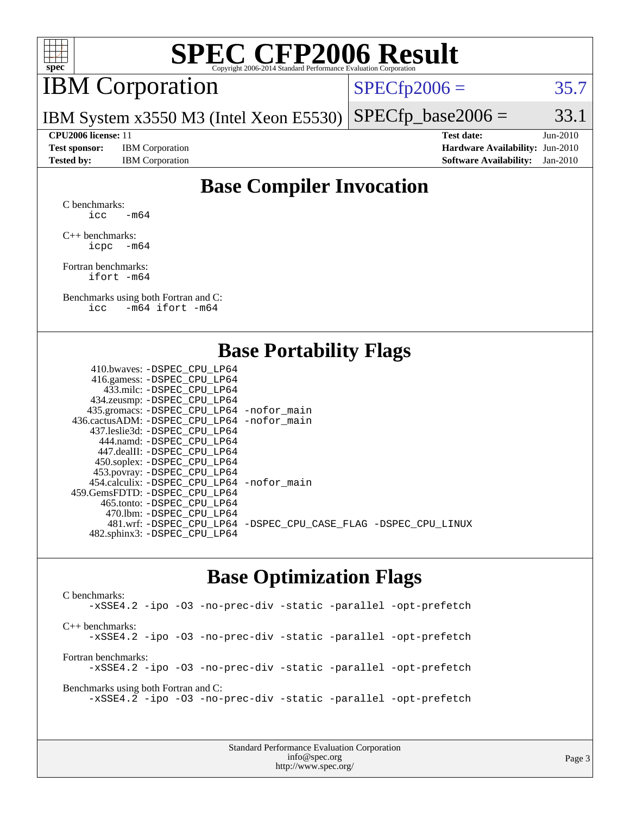

## IBM Corporation

 $SPECTp2006 = 35.7$ 

IBM System x3550 M3 (Intel Xeon E5530)  $SPECTp\_base2006 = 33.1$ 

**[Test sponsor:](http://www.spec.org/auto/cpu2006/Docs/result-fields.html#Testsponsor)** IBM Corporation **[Hardware Availability:](http://www.spec.org/auto/cpu2006/Docs/result-fields.html#HardwareAvailability)** Jun-2010

**[CPU2006 license:](http://www.spec.org/auto/cpu2006/Docs/result-fields.html#CPU2006license)** 11 **[Test date:](http://www.spec.org/auto/cpu2006/Docs/result-fields.html#Testdate)** Jun-2010 **[Tested by:](http://www.spec.org/auto/cpu2006/Docs/result-fields.html#Testedby)** IBM Corporation **[Software Availability:](http://www.spec.org/auto/cpu2006/Docs/result-fields.html#SoftwareAvailability)** Jan-2010

#### **[Base Compiler Invocation](http://www.spec.org/auto/cpu2006/Docs/result-fields.html#BaseCompilerInvocation)**

[C benchmarks](http://www.spec.org/auto/cpu2006/Docs/result-fields.html#Cbenchmarks): icc  $-m64$ 

[C++ benchmarks:](http://www.spec.org/auto/cpu2006/Docs/result-fields.html#CXXbenchmarks) [icpc -m64](http://www.spec.org/cpu2006/results/res2010q3/cpu2006-20100621-11835.flags.html#user_CXXbase_intel_icpc_64bit_bedb90c1146cab66620883ef4f41a67e)

[Fortran benchmarks](http://www.spec.org/auto/cpu2006/Docs/result-fields.html#Fortranbenchmarks): [ifort -m64](http://www.spec.org/cpu2006/results/res2010q3/cpu2006-20100621-11835.flags.html#user_FCbase_intel_ifort_64bit_ee9d0fb25645d0210d97eb0527dcc06e)

[Benchmarks using both Fortran and C](http://www.spec.org/auto/cpu2006/Docs/result-fields.html#BenchmarksusingbothFortranandC): [icc -m64](http://www.spec.org/cpu2006/results/res2010q3/cpu2006-20100621-11835.flags.html#user_CC_FCbase_intel_icc_64bit_0b7121f5ab7cfabee23d88897260401c) [ifort -m64](http://www.spec.org/cpu2006/results/res2010q3/cpu2006-20100621-11835.flags.html#user_CC_FCbase_intel_ifort_64bit_ee9d0fb25645d0210d97eb0527dcc06e)

#### **[Base Portability Flags](http://www.spec.org/auto/cpu2006/Docs/result-fields.html#BasePortabilityFlags)**

| 410.bwaves: -DSPEC CPU LP64                 |                                                                |
|---------------------------------------------|----------------------------------------------------------------|
| 416.gamess: - DSPEC_CPU_LP64                |                                                                |
| 433.milc: -DSPEC CPU LP64                   |                                                                |
| 434.zeusmp: -DSPEC_CPU_LP64                 |                                                                |
| 435.gromacs: -DSPEC_CPU_LP64 -nofor_main    |                                                                |
| 436.cactusADM: -DSPEC CPU LP64 -nofor main  |                                                                |
| 437.leslie3d: -DSPEC CPU LP64               |                                                                |
| 444.namd: - DSPEC_CPU_LP64                  |                                                                |
| 447.dealII: -DSPEC CPU LP64                 |                                                                |
| 450.soplex: -DSPEC_CPU_LP64                 |                                                                |
| 453.povray: -DSPEC_CPU_LP64                 |                                                                |
| 454.calculix: - DSPEC CPU LP64 - nofor main |                                                                |
| 459.GemsFDTD: -DSPEC_CPU LP64               |                                                                |
| 465.tonto: - DSPEC_CPU LP64                 |                                                                |
| 470.1bm: - DSPEC CPU LP64                   |                                                                |
|                                             | 481.wrf: -DSPEC_CPU_LP64 -DSPEC_CPU_CASE_FLAG -DSPEC_CPU_LINUX |
| 482.sphinx3: -DSPEC_CPU_LP64                |                                                                |
|                                             |                                                                |

#### **[Base Optimization Flags](http://www.spec.org/auto/cpu2006/Docs/result-fields.html#BaseOptimizationFlags)**

[C benchmarks](http://www.spec.org/auto/cpu2006/Docs/result-fields.html#Cbenchmarks): [-xSSE4.2](http://www.spec.org/cpu2006/results/res2010q3/cpu2006-20100621-11835.flags.html#user_CCbase_f-xSSE42_f91528193cf0b216347adb8b939d4107) [-ipo](http://www.spec.org/cpu2006/results/res2010q3/cpu2006-20100621-11835.flags.html#user_CCbase_f-ipo) [-O3](http://www.spec.org/cpu2006/results/res2010q3/cpu2006-20100621-11835.flags.html#user_CCbase_f-O3) [-no-prec-div](http://www.spec.org/cpu2006/results/res2010q3/cpu2006-20100621-11835.flags.html#user_CCbase_f-no-prec-div) [-static](http://www.spec.org/cpu2006/results/res2010q3/cpu2006-20100621-11835.flags.html#user_CCbase_f-static) [-parallel](http://www.spec.org/cpu2006/results/res2010q3/cpu2006-20100621-11835.flags.html#user_CCbase_f-parallel) [-opt-prefetch](http://www.spec.org/cpu2006/results/res2010q3/cpu2006-20100621-11835.flags.html#user_CCbase_f-opt-prefetch) [C++ benchmarks:](http://www.spec.org/auto/cpu2006/Docs/result-fields.html#CXXbenchmarks) [-xSSE4.2](http://www.spec.org/cpu2006/results/res2010q3/cpu2006-20100621-11835.flags.html#user_CXXbase_f-xSSE42_f91528193cf0b216347adb8b939d4107) [-ipo](http://www.spec.org/cpu2006/results/res2010q3/cpu2006-20100621-11835.flags.html#user_CXXbase_f-ipo) [-O3](http://www.spec.org/cpu2006/results/res2010q3/cpu2006-20100621-11835.flags.html#user_CXXbase_f-O3) [-no-prec-div](http://www.spec.org/cpu2006/results/res2010q3/cpu2006-20100621-11835.flags.html#user_CXXbase_f-no-prec-div) [-static](http://www.spec.org/cpu2006/results/res2010q3/cpu2006-20100621-11835.flags.html#user_CXXbase_f-static) [-parallel](http://www.spec.org/cpu2006/results/res2010q3/cpu2006-20100621-11835.flags.html#user_CXXbase_f-parallel) [-opt-prefetch](http://www.spec.org/cpu2006/results/res2010q3/cpu2006-20100621-11835.flags.html#user_CXXbase_f-opt-prefetch) [Fortran benchmarks](http://www.spec.org/auto/cpu2006/Docs/result-fields.html#Fortranbenchmarks): [-xSSE4.2](http://www.spec.org/cpu2006/results/res2010q3/cpu2006-20100621-11835.flags.html#user_FCbase_f-xSSE42_f91528193cf0b216347adb8b939d4107) [-ipo](http://www.spec.org/cpu2006/results/res2010q3/cpu2006-20100621-11835.flags.html#user_FCbase_f-ipo) [-O3](http://www.spec.org/cpu2006/results/res2010q3/cpu2006-20100621-11835.flags.html#user_FCbase_f-O3) [-no-prec-div](http://www.spec.org/cpu2006/results/res2010q3/cpu2006-20100621-11835.flags.html#user_FCbase_f-no-prec-div) [-static](http://www.spec.org/cpu2006/results/res2010q3/cpu2006-20100621-11835.flags.html#user_FCbase_f-static) [-parallel](http://www.spec.org/cpu2006/results/res2010q3/cpu2006-20100621-11835.flags.html#user_FCbase_f-parallel) [-opt-prefetch](http://www.spec.org/cpu2006/results/res2010q3/cpu2006-20100621-11835.flags.html#user_FCbase_f-opt-prefetch) [Benchmarks using both Fortran and C](http://www.spec.org/auto/cpu2006/Docs/result-fields.html#BenchmarksusingbothFortranandC): [-xSSE4.2](http://www.spec.org/cpu2006/results/res2010q3/cpu2006-20100621-11835.flags.html#user_CC_FCbase_f-xSSE42_f91528193cf0b216347adb8b939d4107) [-ipo](http://www.spec.org/cpu2006/results/res2010q3/cpu2006-20100621-11835.flags.html#user_CC_FCbase_f-ipo) [-O3](http://www.spec.org/cpu2006/results/res2010q3/cpu2006-20100621-11835.flags.html#user_CC_FCbase_f-O3) [-no-prec-div](http://www.spec.org/cpu2006/results/res2010q3/cpu2006-20100621-11835.flags.html#user_CC_FCbase_f-no-prec-div) [-static](http://www.spec.org/cpu2006/results/res2010q3/cpu2006-20100621-11835.flags.html#user_CC_FCbase_f-static) [-parallel](http://www.spec.org/cpu2006/results/res2010q3/cpu2006-20100621-11835.flags.html#user_CC_FCbase_f-parallel) [-opt-prefetch](http://www.spec.org/cpu2006/results/res2010q3/cpu2006-20100621-11835.flags.html#user_CC_FCbase_f-opt-prefetch)

> Standard Performance Evaluation Corporation [info@spec.org](mailto:info@spec.org) <http://www.spec.org/>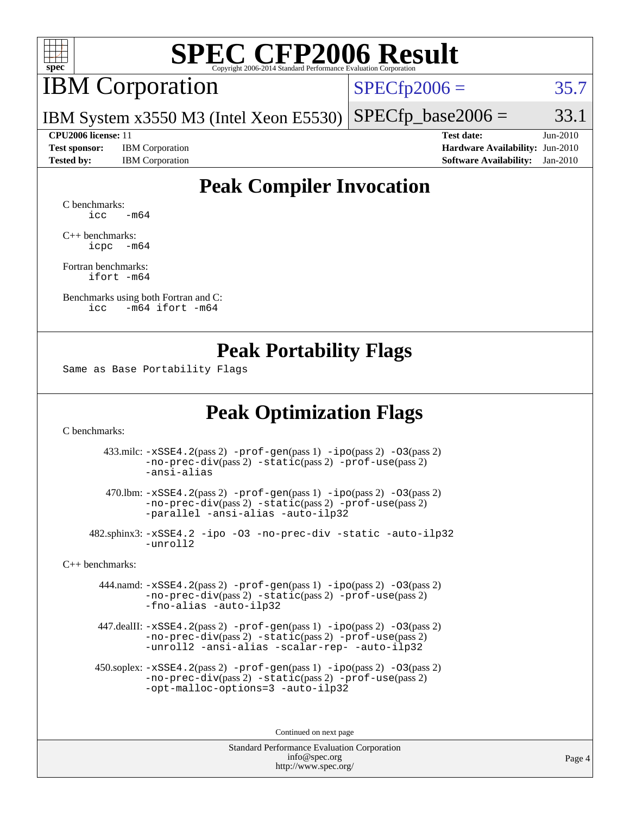

### IBM Corporation

 $SPECfp2006 = 35.7$  $SPECfp2006 = 35.7$ 

IBM System x3550 M3 (Intel Xeon E5530)  $SPECTp\_base2006 = 33.1$ 

**[Test sponsor:](http://www.spec.org/auto/cpu2006/Docs/result-fields.html#Testsponsor)** IBM Corporation **[Hardware Availability:](http://www.spec.org/auto/cpu2006/Docs/result-fields.html#HardwareAvailability)** Jun-2010

**[CPU2006 license:](http://www.spec.org/auto/cpu2006/Docs/result-fields.html#CPU2006license)** 11 **[Test date:](http://www.spec.org/auto/cpu2006/Docs/result-fields.html#Testdate)** Jun-2010 **[Tested by:](http://www.spec.org/auto/cpu2006/Docs/result-fields.html#Testedby)** IBM Corporation **[Software Availability:](http://www.spec.org/auto/cpu2006/Docs/result-fields.html#SoftwareAvailability)** Jan-2010

### **[Peak Compiler Invocation](http://www.spec.org/auto/cpu2006/Docs/result-fields.html#PeakCompilerInvocation)**

[C benchmarks](http://www.spec.org/auto/cpu2006/Docs/result-fields.html#Cbenchmarks):  $\text{icc}$   $-\text{m64}$ 

[C++ benchmarks:](http://www.spec.org/auto/cpu2006/Docs/result-fields.html#CXXbenchmarks) [icpc -m64](http://www.spec.org/cpu2006/results/res2010q3/cpu2006-20100621-11835.flags.html#user_CXXpeak_intel_icpc_64bit_bedb90c1146cab66620883ef4f41a67e)

[Fortran benchmarks](http://www.spec.org/auto/cpu2006/Docs/result-fields.html#Fortranbenchmarks): [ifort -m64](http://www.spec.org/cpu2006/results/res2010q3/cpu2006-20100621-11835.flags.html#user_FCpeak_intel_ifort_64bit_ee9d0fb25645d0210d97eb0527dcc06e)

[Benchmarks using both Fortran and C](http://www.spec.org/auto/cpu2006/Docs/result-fields.html#BenchmarksusingbothFortranandC): [icc -m64](http://www.spec.org/cpu2006/results/res2010q3/cpu2006-20100621-11835.flags.html#user_CC_FCpeak_intel_icc_64bit_0b7121f5ab7cfabee23d88897260401c) [ifort -m64](http://www.spec.org/cpu2006/results/res2010q3/cpu2006-20100621-11835.flags.html#user_CC_FCpeak_intel_ifort_64bit_ee9d0fb25645d0210d97eb0527dcc06e)

#### **[Peak Portability Flags](http://www.spec.org/auto/cpu2006/Docs/result-fields.html#PeakPortabilityFlags)**

Same as Base Portability Flags

### **[Peak Optimization Flags](http://www.spec.org/auto/cpu2006/Docs/result-fields.html#PeakOptimizationFlags)**

[C benchmarks](http://www.spec.org/auto/cpu2006/Docs/result-fields.html#Cbenchmarks):

 433.milc: [-xSSE4.2](http://www.spec.org/cpu2006/results/res2010q3/cpu2006-20100621-11835.flags.html#user_peakPASS2_CFLAGSPASS2_LDFLAGS433_milc_f-xSSE42_f91528193cf0b216347adb8b939d4107)(pass 2) [-prof-gen](http://www.spec.org/cpu2006/results/res2010q3/cpu2006-20100621-11835.flags.html#user_peakPASS1_CFLAGSPASS1_LDFLAGS433_milc_prof_gen_e43856698f6ca7b7e442dfd80e94a8fc)(pass 1) [-ipo](http://www.spec.org/cpu2006/results/res2010q3/cpu2006-20100621-11835.flags.html#user_peakPASS2_CFLAGSPASS2_LDFLAGS433_milc_f-ipo)(pass 2) [-O3](http://www.spec.org/cpu2006/results/res2010q3/cpu2006-20100621-11835.flags.html#user_peakPASS2_CFLAGSPASS2_LDFLAGS433_milc_f-O3)(pass 2) [-no-prec-div](http://www.spec.org/cpu2006/results/res2010q3/cpu2006-20100621-11835.flags.html#user_peakPASS2_CFLAGSPASS2_LDFLAGS433_milc_f-no-prec-div)(pass 2) [-static](http://www.spec.org/cpu2006/results/res2010q3/cpu2006-20100621-11835.flags.html#user_peakPASS2_CFLAGSPASS2_LDFLAGS433_milc_f-static)(pass 2) [-prof-use](http://www.spec.org/cpu2006/results/res2010q3/cpu2006-20100621-11835.flags.html#user_peakPASS2_CFLAGSPASS2_LDFLAGS433_milc_prof_use_bccf7792157ff70d64e32fe3e1250b55)(pass 2) [-ansi-alias](http://www.spec.org/cpu2006/results/res2010q3/cpu2006-20100621-11835.flags.html#user_peakOPTIMIZE433_milc_f-ansi-alias)

 470.lbm: [-xSSE4.2](http://www.spec.org/cpu2006/results/res2010q3/cpu2006-20100621-11835.flags.html#user_peakPASS2_CFLAGSPASS2_LDFLAGS470_lbm_f-xSSE42_f91528193cf0b216347adb8b939d4107)(pass 2) [-prof-gen](http://www.spec.org/cpu2006/results/res2010q3/cpu2006-20100621-11835.flags.html#user_peakPASS1_CFLAGSPASS1_LDFLAGS470_lbm_prof_gen_e43856698f6ca7b7e442dfd80e94a8fc)(pass 1) [-ipo](http://www.spec.org/cpu2006/results/res2010q3/cpu2006-20100621-11835.flags.html#user_peakPASS2_CFLAGSPASS2_LDFLAGS470_lbm_f-ipo)(pass 2) [-O3](http://www.spec.org/cpu2006/results/res2010q3/cpu2006-20100621-11835.flags.html#user_peakPASS2_CFLAGSPASS2_LDFLAGS470_lbm_f-O3)(pass 2) [-no-prec-div](http://www.spec.org/cpu2006/results/res2010q3/cpu2006-20100621-11835.flags.html#user_peakPASS2_CFLAGSPASS2_LDFLAGS470_lbm_f-no-prec-div)(pass 2) [-static](http://www.spec.org/cpu2006/results/res2010q3/cpu2006-20100621-11835.flags.html#user_peakPASS2_CFLAGSPASS2_LDFLAGS470_lbm_f-static)(pass 2) [-prof-use](http://www.spec.org/cpu2006/results/res2010q3/cpu2006-20100621-11835.flags.html#user_peakPASS2_CFLAGSPASS2_LDFLAGS470_lbm_prof_use_bccf7792157ff70d64e32fe3e1250b55)(pass 2) [-parallel](http://www.spec.org/cpu2006/results/res2010q3/cpu2006-20100621-11835.flags.html#user_peakOPTIMIZE470_lbm_f-parallel) [-ansi-alias](http://www.spec.org/cpu2006/results/res2010q3/cpu2006-20100621-11835.flags.html#user_peakOPTIMIZE470_lbm_f-ansi-alias) [-auto-ilp32](http://www.spec.org/cpu2006/results/res2010q3/cpu2006-20100621-11835.flags.html#user_peakCOPTIMIZE470_lbm_f-auto-ilp32)

 482.sphinx3: [-xSSE4.2](http://www.spec.org/cpu2006/results/res2010q3/cpu2006-20100621-11835.flags.html#user_peakOPTIMIZE482_sphinx3_f-xSSE42_f91528193cf0b216347adb8b939d4107) [-ipo](http://www.spec.org/cpu2006/results/res2010q3/cpu2006-20100621-11835.flags.html#user_peakOPTIMIZE482_sphinx3_f-ipo) [-O3](http://www.spec.org/cpu2006/results/res2010q3/cpu2006-20100621-11835.flags.html#user_peakOPTIMIZE482_sphinx3_f-O3) [-no-prec-div](http://www.spec.org/cpu2006/results/res2010q3/cpu2006-20100621-11835.flags.html#user_peakOPTIMIZE482_sphinx3_f-no-prec-div) [-static](http://www.spec.org/cpu2006/results/res2010q3/cpu2006-20100621-11835.flags.html#user_peakOPTIMIZE482_sphinx3_f-static) [-auto-ilp32](http://www.spec.org/cpu2006/results/res2010q3/cpu2006-20100621-11835.flags.html#user_peakCOPTIMIZE482_sphinx3_f-auto-ilp32) [-unroll2](http://www.spec.org/cpu2006/results/res2010q3/cpu2006-20100621-11835.flags.html#user_peakCOPTIMIZE482_sphinx3_f-unroll_784dae83bebfb236979b41d2422d7ec2)

[C++ benchmarks:](http://www.spec.org/auto/cpu2006/Docs/result-fields.html#CXXbenchmarks)

 444.namd: [-xSSE4.2](http://www.spec.org/cpu2006/results/res2010q3/cpu2006-20100621-11835.flags.html#user_peakPASS2_CXXFLAGSPASS2_LDFLAGS444_namd_f-xSSE42_f91528193cf0b216347adb8b939d4107)(pass 2) [-prof-gen](http://www.spec.org/cpu2006/results/res2010q3/cpu2006-20100621-11835.flags.html#user_peakPASS1_CXXFLAGSPASS1_LDFLAGS444_namd_prof_gen_e43856698f6ca7b7e442dfd80e94a8fc)(pass 1) [-ipo](http://www.spec.org/cpu2006/results/res2010q3/cpu2006-20100621-11835.flags.html#user_peakPASS2_CXXFLAGSPASS2_LDFLAGS444_namd_f-ipo)(pass 2) [-O3](http://www.spec.org/cpu2006/results/res2010q3/cpu2006-20100621-11835.flags.html#user_peakPASS2_CXXFLAGSPASS2_LDFLAGS444_namd_f-O3)(pass 2) [-no-prec-div](http://www.spec.org/cpu2006/results/res2010q3/cpu2006-20100621-11835.flags.html#user_peakPASS2_CXXFLAGSPASS2_LDFLAGS444_namd_f-no-prec-div)(pass 2) [-static](http://www.spec.org/cpu2006/results/res2010q3/cpu2006-20100621-11835.flags.html#user_peakPASS2_CXXFLAGSPASS2_LDFLAGS444_namd_f-static)(pass 2) [-prof-use](http://www.spec.org/cpu2006/results/res2010q3/cpu2006-20100621-11835.flags.html#user_peakPASS2_CXXFLAGSPASS2_LDFLAGS444_namd_prof_use_bccf7792157ff70d64e32fe3e1250b55)(pass 2) [-fno-alias](http://www.spec.org/cpu2006/results/res2010q3/cpu2006-20100621-11835.flags.html#user_peakOPTIMIZE444_namd_f-no-alias_694e77f6c5a51e658e82ccff53a9e63a) [-auto-ilp32](http://www.spec.org/cpu2006/results/res2010q3/cpu2006-20100621-11835.flags.html#user_peakCXXOPTIMIZE444_namd_f-auto-ilp32)

 447.dealII: [-xSSE4.2](http://www.spec.org/cpu2006/results/res2010q3/cpu2006-20100621-11835.flags.html#user_peakPASS2_CXXFLAGSPASS2_LDFLAGS447_dealII_f-xSSE42_f91528193cf0b216347adb8b939d4107)(pass 2) [-prof-gen](http://www.spec.org/cpu2006/results/res2010q3/cpu2006-20100621-11835.flags.html#user_peakPASS1_CXXFLAGSPASS1_LDFLAGS447_dealII_prof_gen_e43856698f6ca7b7e442dfd80e94a8fc)(pass 1) [-ipo](http://www.spec.org/cpu2006/results/res2010q3/cpu2006-20100621-11835.flags.html#user_peakPASS2_CXXFLAGSPASS2_LDFLAGS447_dealII_f-ipo)(pass 2) [-O3](http://www.spec.org/cpu2006/results/res2010q3/cpu2006-20100621-11835.flags.html#user_peakPASS2_CXXFLAGSPASS2_LDFLAGS447_dealII_f-O3)(pass 2) [-no-prec-div](http://www.spec.org/cpu2006/results/res2010q3/cpu2006-20100621-11835.flags.html#user_peakPASS2_CXXFLAGSPASS2_LDFLAGS447_dealII_f-no-prec-div)(pass 2) [-static](http://www.spec.org/cpu2006/results/res2010q3/cpu2006-20100621-11835.flags.html#user_peakPASS2_CXXFLAGSPASS2_LDFLAGS447_dealII_f-static)(pass 2) [-prof-use](http://www.spec.org/cpu2006/results/res2010q3/cpu2006-20100621-11835.flags.html#user_peakPASS2_CXXFLAGSPASS2_LDFLAGS447_dealII_prof_use_bccf7792157ff70d64e32fe3e1250b55)(pass 2) [-unroll2](http://www.spec.org/cpu2006/results/res2010q3/cpu2006-20100621-11835.flags.html#user_peakOPTIMIZE447_dealII_f-unroll_784dae83bebfb236979b41d2422d7ec2) [-ansi-alias](http://www.spec.org/cpu2006/results/res2010q3/cpu2006-20100621-11835.flags.html#user_peakOPTIMIZE447_dealII_f-ansi-alias) [-scalar-rep-](http://www.spec.org/cpu2006/results/res2010q3/cpu2006-20100621-11835.flags.html#user_peakOPTIMIZE447_dealII_f-disablescalarrep_abbcad04450fb118e4809c81d83c8a1d) [-auto-ilp32](http://www.spec.org/cpu2006/results/res2010q3/cpu2006-20100621-11835.flags.html#user_peakCXXOPTIMIZE447_dealII_f-auto-ilp32)

 450.soplex: [-xSSE4.2](http://www.spec.org/cpu2006/results/res2010q3/cpu2006-20100621-11835.flags.html#user_peakPASS2_CXXFLAGSPASS2_LDFLAGS450_soplex_f-xSSE42_f91528193cf0b216347adb8b939d4107)(pass 2) [-prof-gen](http://www.spec.org/cpu2006/results/res2010q3/cpu2006-20100621-11835.flags.html#user_peakPASS1_CXXFLAGSPASS1_LDFLAGS450_soplex_prof_gen_e43856698f6ca7b7e442dfd80e94a8fc)(pass 1) [-ipo](http://www.spec.org/cpu2006/results/res2010q3/cpu2006-20100621-11835.flags.html#user_peakPASS2_CXXFLAGSPASS2_LDFLAGS450_soplex_f-ipo)(pass 2) [-O3](http://www.spec.org/cpu2006/results/res2010q3/cpu2006-20100621-11835.flags.html#user_peakPASS2_CXXFLAGSPASS2_LDFLAGS450_soplex_f-O3)(pass 2) [-no-prec-div](http://www.spec.org/cpu2006/results/res2010q3/cpu2006-20100621-11835.flags.html#user_peakPASS2_CXXFLAGSPASS2_LDFLAGS450_soplex_f-no-prec-div)(pass 2) [-static](http://www.spec.org/cpu2006/results/res2010q3/cpu2006-20100621-11835.flags.html#user_peakPASS2_CXXFLAGSPASS2_LDFLAGS450_soplex_f-static)(pass 2) [-prof-use](http://www.spec.org/cpu2006/results/res2010q3/cpu2006-20100621-11835.flags.html#user_peakPASS2_CXXFLAGSPASS2_LDFLAGS450_soplex_prof_use_bccf7792157ff70d64e32fe3e1250b55)(pass 2) [-opt-malloc-options=3](http://www.spec.org/cpu2006/results/res2010q3/cpu2006-20100621-11835.flags.html#user_peakOPTIMIZE450_soplex_f-opt-malloc-options_13ab9b803cf986b4ee62f0a5998c2238) [-auto-ilp32](http://www.spec.org/cpu2006/results/res2010q3/cpu2006-20100621-11835.flags.html#user_peakCXXOPTIMIZE450_soplex_f-auto-ilp32)

Continued on next page

Standard Performance Evaluation Corporation [info@spec.org](mailto:info@spec.org) <http://www.spec.org/>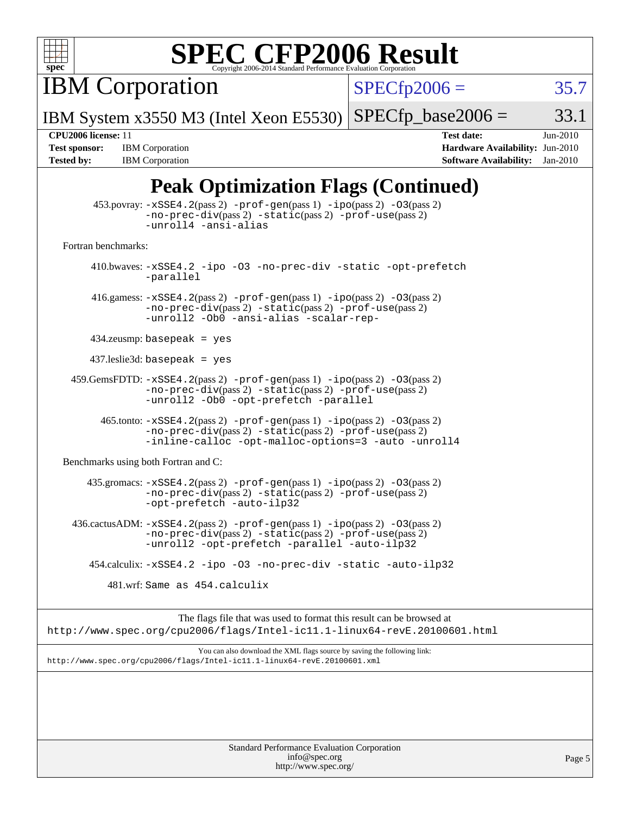

**IBM Corporation** 

 $SPECfp2006 = 35.7$  $SPECfp2006 = 35.7$ 

IBM System x3550 M3 (Intel Xeon E5530)  $SPECTp\_base2006 = 33.1$ 

**[Tested by:](http://www.spec.org/auto/cpu2006/Docs/result-fields.html#Testedby)** IBM Corporation **[Software Availability:](http://www.spec.org/auto/cpu2006/Docs/result-fields.html#SoftwareAvailability)** Jan-2010

**[CPU2006 license:](http://www.spec.org/auto/cpu2006/Docs/result-fields.html#CPU2006license)** 11 **[Test date:](http://www.spec.org/auto/cpu2006/Docs/result-fields.html#Testdate)** Jun-2010 **[Test sponsor:](http://www.spec.org/auto/cpu2006/Docs/result-fields.html#Testsponsor)** IBM Corporation **[Hardware Availability:](http://www.spec.org/auto/cpu2006/Docs/result-fields.html#HardwareAvailability)** Jun-2010

### **[Peak Optimization Flags \(Continued\)](http://www.spec.org/auto/cpu2006/Docs/result-fields.html#PeakOptimizationFlags)**

|                                      | $\sim$                                                                                                                                                                                  |
|--------------------------------------|-----------------------------------------------------------------------------------------------------------------------------------------------------------------------------------------|
|                                      | 453.povray: -xSSE4.2(pass 2) -prof-gen(pass 1) -ipo(pass 2) -03(pass 2)<br>-no-prec-div(pass 2) -static(pass 2) -prof-use(pass 2)<br>-unroll4 -ansi-alias                               |
| Fortran benchmarks:                  |                                                                                                                                                                                         |
|                                      | 410.bwaves: -xSSE4.2 -ipo -03 -no-prec-div -static -opt-prefetch<br>-parallel                                                                                                           |
|                                      | 416.gamess: $-xSSE4$ . 2(pass 2) $-prof-gen(pass 1) -ipo(pass 2) -03(pass 2)$<br>-no-prec-div(pass 2) -static(pass 2) -prof-use(pass 2)<br>-unroll2 -Ob0 -ansi-alias -scalar-rep-       |
|                                      | $434$ .zeusmp: basepeak = yes                                                                                                                                                           |
|                                      | $437$ .leslie3d: basepeak = yes                                                                                                                                                         |
|                                      | $459.GemsFDTD: -xSSE4.2(pass 2) -prof-gen(pass 1) -ipo(pass 2) -03(pass 2)$<br>-no-prec-div(pass 2) -static(pass 2) -prof-use(pass 2)<br>-unroll2 -Ob0 -opt-prefetch -parallel          |
|                                      | 465.tonto: -xSSE4.2(pass 2) -prof-gen(pass 1) -ipo(pass 2) -03(pass 2)<br>-no-prec-div(pass 2) -static(pass 2) -prof-use(pass 2)<br>-inline-calloc -opt-malloc-options=3 -auto -unroll4 |
| Benchmarks using both Fortran and C: |                                                                                                                                                                                         |
|                                      | 435.gromacs: $-xSSE4$ . 2(pass 2) -prof-gen(pass 1) -ipo(pass 2) -03(pass 2)<br>-no-prec-div(pass 2) -static(pass 2) -prof-use(pass 2)<br>-opt-prefetch -auto-ilp32                     |
|                                      | 436.cactusADM: -xSSE4.2(pass 2) -prof-gen(pass 1) -ipo(pass 2) -03(pass 2)<br>-no-prec-div(pass 2) -static(pass 2) -prof-use(pass 2)<br>-unroll2 -opt-prefetch -parallel -auto-ilp32    |
|                                      | 454.calculix: -xSSE4.2 -ipo -03 -no-prec-div -static -auto-ilp32                                                                                                                        |
|                                      | 481.wrf: Same as 454.calculix                                                                                                                                                           |
|                                      | The flags file that was used to format this result can be browsed at<br>http://www.spec.org/cpu2006/flags/Intel-ic11.1-linux64-revE.20100601.html                                       |
|                                      | You can also download the XML flags source by saying the following link:<br>http://www.spec.org/cpu2006/flags/Intel-icl1.1-linux64-revE.20100601.xml                                    |
|                                      |                                                                                                                                                                                         |
|                                      |                                                                                                                                                                                         |